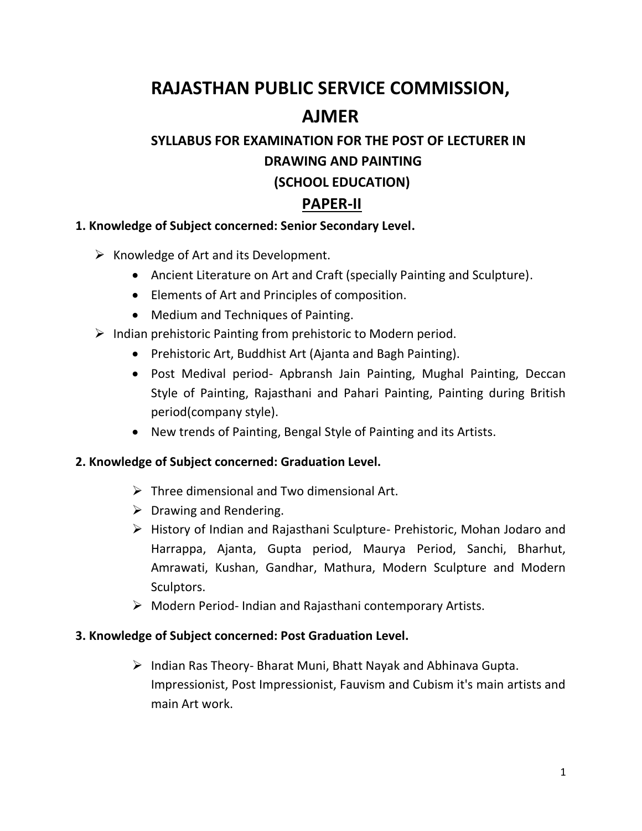# **RAJASTHAN PUBLIC SERVICE COMMISSION, AJMER**

## **SYLLABUS FOR EXAMINATION FOR THE POST OF LECTURER IN DRAWING AND PAINTING (SCHOOL EDUCATION)**

### **PAPER-II**

#### **1. Knowledge of Subject concerned: Senior Secondary Level.**

 $\triangleright$  Knowledge of Art and its Development.

- Ancient Literature on Art and Craft (specially Painting and Sculpture).
- Elements of Art and Principles of composition.
- Medium and Techniques of Painting.
- $\triangleright$  Indian prehistoric Painting from prehistoric to Modern period.
	- Prehistoric Art, Buddhist Art (Ajanta and Bagh Painting).
	- Post Medival period- Apbransh Jain Painting, Mughal Painting, Deccan Style of Painting, Rajasthani and Pahari Painting, Painting during British period(company style).
	- New trends of Painting, Bengal Style of Painting and its Artists.

#### **2. Knowledge of Subject concerned: Graduation Level.**

- $\triangleright$  Three dimensional and Two dimensional Art.
- $\triangleright$  Drawing and Rendering.
- History of Indian and Rajasthani Sculpture- Prehistoric, Mohan Jodaro and Harrappa, Ajanta, Gupta period, Maurya Period, Sanchi, Bharhut, Amrawati, Kushan, Gandhar, Mathura, Modern Sculpture and Modern Sculptors.
- Modern Period- Indian and Rajasthani contemporary Artists.

#### **3. Knowledge of Subject concerned: Post Graduation Level.**

 $\triangleright$  Indian Ras Theory-Bharat Muni, Bhatt Nayak and Abhinava Gupta. Impressionist, Post Impressionist, Fauvism and Cubism it's main artists and main Art work.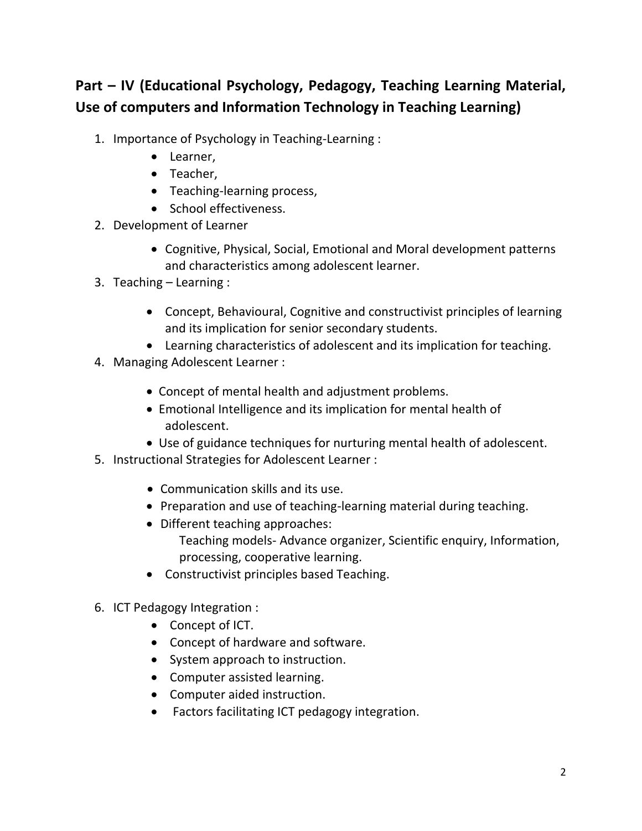## **Part – IV (Educational Psychology, Pedagogy, Teaching Learning Material, Use of computers and Information Technology in Teaching Learning)**

- 1. Importance of Psychology in Teaching-Learning :
	- Learner,
	- Teacher,
	- Teaching-learning process,
	- School effectiveness.
- 2. Development of Learner
	- Cognitive, Physical, Social, Emotional and Moral development patterns and characteristics among adolescent learner.
- 3. Teaching Learning :
	- Concept, Behavioural, Cognitive and constructivist principles of learning and its implication for senior secondary students.
	- Learning characteristics of adolescent and its implication for teaching.
- 4. Managing Adolescent Learner :
	- Concept of mental health and adjustment problems.
	- Emotional Intelligence and its implication for mental health of adolescent.
	- Use of guidance techniques for nurturing mental health of adolescent.
- 5. Instructional Strategies for Adolescent Learner :
	- Communication skills and its use.
	- Preparation and use of teaching-learning material during teaching.
	- Different teaching approaches: Teaching models- Advance organizer, Scientific enquiry, Information, processing, cooperative learning.
	- Constructivist principles based Teaching.
- 6. ICT Pedagogy Integration :
	- Concept of ICT.
	- Concept of hardware and software.
	- System approach to instruction.
	- Computer assisted learning.
	- Computer aided instruction.
	- Factors facilitating ICT pedagogy integration.